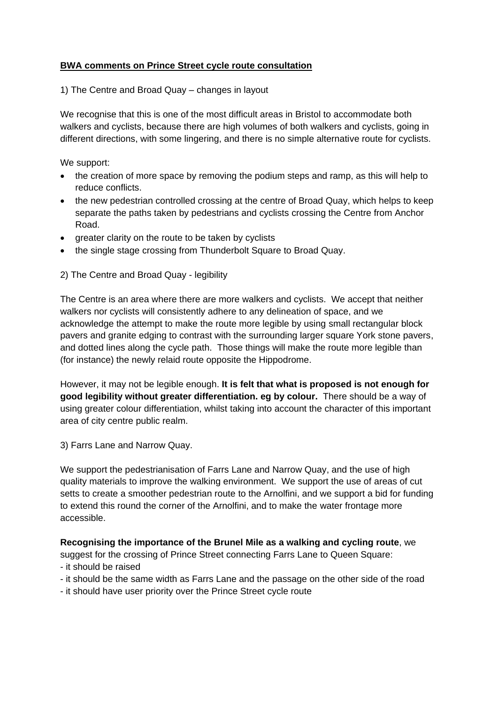# **BWA comments on Prince Street cycle route consultation**

1) The Centre and Broad Quay – changes in layout

We recognise that this is one of the most difficult areas in Bristol to accommodate both walkers and cyclists, because there are high volumes of both walkers and cyclists, going in different directions, with some lingering, and there is no simple alternative route for cyclists.

We support:

- the creation of more space by removing the podium steps and ramp, as this will help to reduce conflicts.
- the new pedestrian controlled crossing at the centre of Broad Quay, which helps to keep separate the paths taken by pedestrians and cyclists crossing the Centre from Anchor Road.
- greater clarity on the route to be taken by cyclists
- the single stage crossing from Thunderbolt Square to Broad Quay.

2) The Centre and Broad Quay - legibility

The Centre is an area where there are more walkers and cyclists. We accept that neither walkers nor cyclists will consistently adhere to any delineation of space, and we acknowledge the attempt to make the route more legible by using small rectangular block pavers and granite edging to contrast with the surrounding larger square York stone pavers, and dotted lines along the cycle path. Those things will make the route more legible than (for instance) the newly relaid route opposite the Hippodrome.

However, it may not be legible enough. **It is felt that what is proposed is not enough for good legibility without greater differentiation. eg by colour.** There should be a way of using greater colour differentiation, whilst taking into account the character of this important area of city centre public realm.

3) Farrs Lane and Narrow Quay.

We support the pedestrianisation of Farrs Lane and Narrow Quay, and the use of high quality materials to improve the walking environment. We support the use of areas of cut setts to create a smoother pedestrian route to the Arnolfini, and we support a bid for funding to extend this round the corner of the Arnolfini, and to make the water frontage more accessible.

## **Recognising the importance of the Brunel Mile as a walking and cycling route**, we

suggest for the crossing of Prince Street connecting Farrs Lane to Queen Square:

- it should be raised

- it should be the same width as Farrs Lane and the passage on the other side of the road

- it should have user priority over the Prince Street cycle route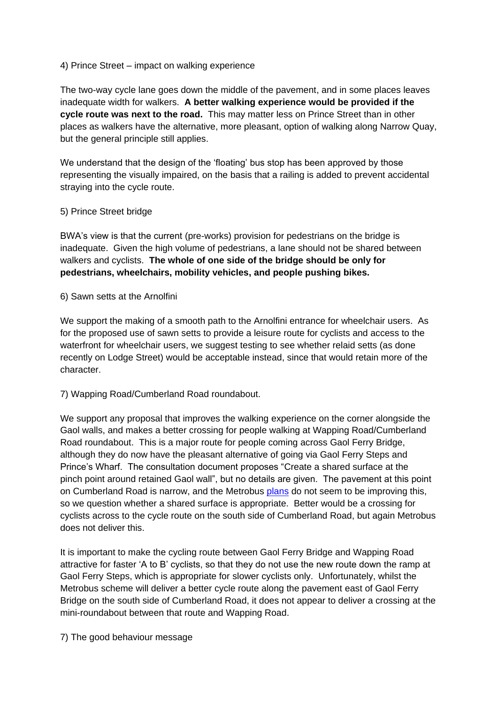### 4) Prince Street – impact on walking experience

The two-way cycle lane goes down the middle of the pavement, and in some places leaves inadequate width for walkers. **A better walking experience would be provided if the cycle route was next to the road.** This may matter less on Prince Street than in other places as walkers have the alternative, more pleasant, option of walking along Narrow Quay, but the general principle still applies.

We understand that the design of the 'floating' bus stop has been approved by those representing the visually impaired, on the basis that a railing is added to prevent accidental straying into the cycle route.

## 5) Prince Street bridge

BWA's view is that the current (pre-works) provision for pedestrians on the bridge is inadequate. Given the high volume of pedestrians, a lane should not be shared between walkers and cyclists. **The whole of one side of the bridge should be only for pedestrians, wheelchairs, mobility vehicles, and people pushing bikes.**

### 6) Sawn setts at the Arnolfini

We support the making of a smooth path to the Arnolfini entrance for wheelchair users. As for the proposed use of sawn setts to provide a leisure route for cyclists and access to the waterfront for wheelchair users, we suggest testing to see whether relaid setts (as done recently on Lodge Street) would be acceptable instead, since that would retain more of the character.

## 7) Wapping Road/Cumberland Road roundabout.

We support any proposal that improves the walking experience on the corner alongside the Gaol walls, and makes a better crossing for people walking at Wapping Road/Cumberland Road roundabout. This is a major route for people coming across Gaol Ferry Bridge, although they do now have the pleasant alternative of going via Gaol Ferry Steps and Prince's Wharf. The consultation document proposes "Create a shared surface at the pinch point around retained Gaol wall", but no details are given. The pavement at this point on Cumberland Road is narrow, and the Metrobus [plans](http://planningonline.bristol.gov.uk/online-applications/files/9892A9A794246CF2AB2AFBE990392C54/pdf/13_05648_FB-6.4.7_BATHURST_BASIN_BRIDGE_LAYOUT-1085709.pdf) do not seem to be improving this, so we question whether a shared surface is appropriate. Better would be a crossing for cyclists across to the cycle route on the south side of Cumberland Road, but again Metrobus does not deliver this.

It is important to make the cycling route between Gaol Ferry Bridge and Wapping Road attractive for faster 'A to B' cyclists, so that they do not use the new route down the ramp at Gaol Ferry Steps, which is appropriate for slower cyclists only. Unfortunately, whilst the Metrobus scheme will deliver a better cycle route along the pavement east of Gaol Ferry Bridge on the south side of Cumberland Road, it does not appear to deliver a crossing at the mini-roundabout between that route and Wapping Road.

7) The good behaviour message